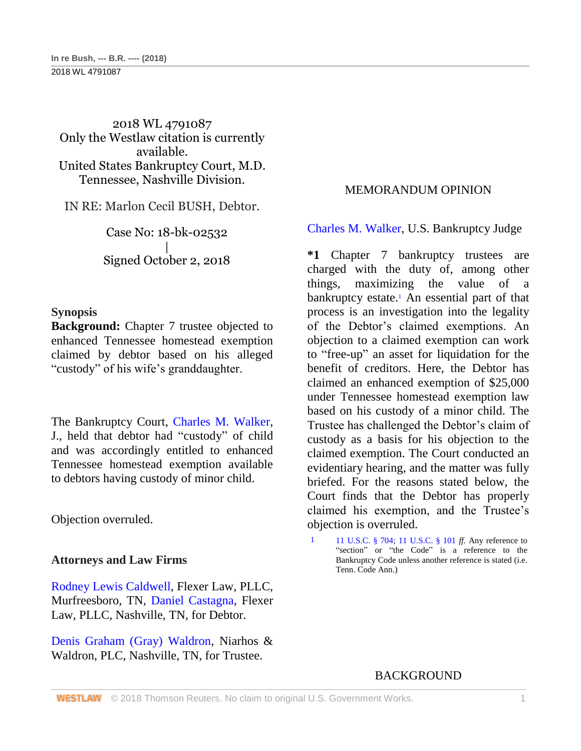2018 WL 4791087 Only the Westlaw citation is currently available. United States Bankruptcy Court, M.D. Tennessee, Nashville Division.

IN RE: Marlon Cecil BUSH, Debtor.

Case No: 18-bk-02532 | Signed October 2, 2018

### **Synopsis**

**Background:** Chapter 7 trustee objected to enhanced Tennessee homestead exemption claimed by debtor based on his alleged "custody" of his wife's granddaughter.

The Bankruptcy Court, [Charles M. Walker,](http://www.westlaw.com/Link/Document/FullText?findType=h&pubNum=176284&cite=0499119399&originatingDoc=I6b8ae310c83b11e8b93ad6f77bf99296&refType=RQ&originationContext=document&vr=3.0&rs=cblt1.0&transitionType=DocumentItem&contextData=(sc.UserEnteredCitation)) J., held that debtor had "custody" of child and was accordingly entitled to enhanced Tennessee homestead exemption available to debtors having custody of minor child.

Objection overruled.

### **Attorneys and Law Firms**

[Rodney Lewis Caldwell,](http://www.westlaw.com/Link/Document/FullText?findType=h&pubNum=176284&cite=0428898901&originatingDoc=I6b8ae310c83b11e8b93ad6f77bf99296&refType=RQ&originationContext=document&vr=3.0&rs=cblt1.0&transitionType=DocumentItem&contextData=(sc.UserEnteredCitation)) Flexer Law, PLLC, Murfreesboro, TN, [Daniel Castagna,](http://www.westlaw.com/Link/Document/FullText?findType=h&pubNum=176284&cite=0424863001&originatingDoc=I6b8ae310c83b11e8b93ad6f77bf99296&refType=RQ&originationContext=document&vr=3.0&rs=cblt1.0&transitionType=DocumentItem&contextData=(sc.UserEnteredCitation)) Flexer Law, PLLC, Nashville, TN, for Debtor.

[Denis Graham \(Gray\) Waldron,](http://www.westlaw.com/Link/Document/FullText?findType=h&pubNum=176284&cite=0451463801&originatingDoc=I6b8ae310c83b11e8b93ad6f77bf99296&refType=RQ&originationContext=document&vr=3.0&rs=cblt1.0&transitionType=DocumentItem&contextData=(sc.UserEnteredCitation)) Niarhos & Waldron, PLC, Nashville, TN, for Trustee.

## MEMORANDUM OPINION

[Charles M. Walker,](http://www.westlaw.com/Link/Document/FullText?findType=h&pubNum=176284&cite=0499119399&originatingDoc=I6b8ae310c83b11e8b93ad6f77bf99296&refType=RQ&originationContext=document&vr=3.0&rs=cblt1.0&transitionType=DocumentItem&contextData=(sc.UserEnteredCitation)) U.S. Bankruptcy Judge

**\*1** Chapter 7 bankruptcy trustees are charged with the duty of, among other things, maximizing the value of a bankruptcy estate.<sup>1</sup> An essential part of that process is an investigation into the legality of the Debtor's claimed exemptions. An objection to a claimed exemption can work to "free-up" an asset for liquidation for the benefit of creditors. Here, the Debtor has claimed an enhanced exemption of \$25,000 under Tennessee homestead exemption law based on his custody of a minor child. The Trustee has challenged the Debtor's claim of custody as a basis for his objection to the claimed exemption. The Court conducted an evidentiary hearing, and the matter was fully briefed. For the reasons stated below, the Court finds that the Debtor has properly claimed his exemption, and the Trustee's objection is overruled.

1 [11 U.S.C. § 704;](http://www.westlaw.com/Link/Document/FullText?findType=L&pubNum=1000546&cite=11USCAS704&originatingDoc=I6b8ae310c83b11e8b93ad6f77bf99296&refType=LQ&originationContext=document&vr=3.0&rs=cblt1.0&transitionType=DocumentItem&contextData=(sc.UserEnteredCitation)) [11 U.S.C. § 101](http://www.westlaw.com/Link/Document/FullText?findType=L&pubNum=1000546&cite=11USCAS101&originatingDoc=I6b8ae310c83b11e8b93ad6f77bf99296&refType=LQ&originationContext=document&vr=3.0&rs=cblt1.0&transitionType=DocumentItem&contextData=(sc.UserEnteredCitation)) *ff.* Any reference to "section" or "the Code" is a reference to the Bankruptcy Code unless another reference is stated (i.e. Tenn. Code Ann.)

## **BACKGROUND**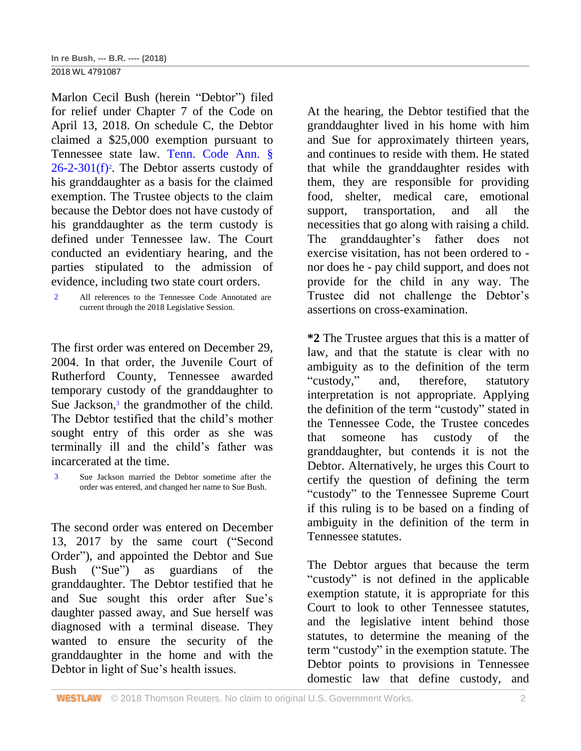Marlon Cecil Bush (herein "Debtor") filed for relief under Chapter 7 of the Code on April 13, 2018. On schedule C, the Debtor claimed a \$25,000 exemption pursuant to Tennessee state law. [Tenn. Code Ann. §](http://www.westlaw.com/Link/Document/FullText?findType=L&pubNum=1000039&cite=TNSTS26-2-301&originatingDoc=I6b8ae310c83b11e8b93ad6f77bf99296&refType=SP&originationContext=document&vr=3.0&rs=cblt1.0&transitionType=DocumentItem&contextData=(sc.UserEnteredCitation)#co_pp_ae0d0000c5150)   $26-2-301(f)^2$  $26-2-301(f)^2$ . The Debtor asserts custody of his granddaughter as a basis for the claimed exemption. The Trustee objects to the claim because the Debtor does not have custody of his granddaughter as the term custody is defined under Tennessee law. The Court conducted an evidentiary hearing, and the parties stipulated to the admission of evidence, including two state court orders.

2 All references to the Tennessee Code Annotated are current through the 2018 Legislative Session.

The first order was entered on December 29, 2004. In that order, the Juvenile Court of Rutherford County, Tennessee awarded temporary custody of the granddaughter to Sue Jackson,<sup>3</sup> the grandmother of the child. The Debtor testified that the child's mother sought entry of this order as she was terminally ill and the child's father was incarcerated at the time.

The second order was entered on December 13, 2017 by the same court ("Second Order"), and appointed the Debtor and Sue Bush ("Sue") as guardians of the granddaughter. The Debtor testified that he and Sue sought this order after Sue's daughter passed away, and Sue herself was diagnosed with a terminal disease. They wanted to ensure the security of the granddaughter in the home and with the Debtor in light of Sue's health issues.

At the hearing, the Debtor testified that the granddaughter lived in his home with him and Sue for approximately thirteen years, and continues to reside with them. He stated that while the granddaughter resides with them, they are responsible for providing food, shelter, medical care, emotional support, transportation, and all the necessities that go along with raising a child. The granddaughter's father does not exercise visitation, has not been ordered to nor does he - pay child support, and does not provide for the child in any way. The Trustee did not challenge the Debtor's assertions on cross-examination.

**\*2** The Trustee argues that this is a matter of law, and that the statute is clear with no ambiguity as to the definition of the term "custody," and, therefore, statutory interpretation is not appropriate. Applying the definition of the term "custody" stated in the Tennessee Code, the Trustee concedes that someone has custody of the granddaughter, but contends it is not the Debtor. Alternatively, he urges this Court to certify the question of defining the term "custody" to the Tennessee Supreme Court if this ruling is to be based on a finding of ambiguity in the definition of the term in Tennessee statutes.

The Debtor argues that because the term "custody" is not defined in the applicable exemption statute, it is appropriate for this Court to look to other Tennessee statutes, and the legislative intent behind those statutes, to determine the meaning of the term "custody" in the exemption statute. The Debtor points to provisions in Tennessee domestic law that define custody, and

<sup>3</sup> Sue Jackson married the Debtor sometime after the order was entered, and changed her name to Sue Bush.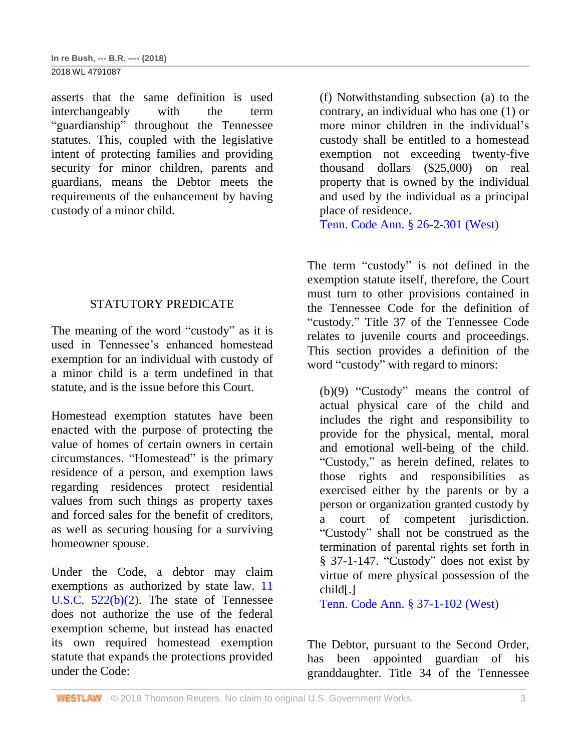2018 WL 4791087

asserts that the same definition is used interchangeably with the term "guardianship" throughout the Tennessee statutes. This, coupled with the legislative intent of protecting families and providing security for minor children, parents and guardians, means the Debtor meets the requirements of the enhancement by having custody of a minor child.

# STATUTORY PREDICATE

The meaning of the word "custody" as it is used in Tennessee's enhanced homestead exemption for an individual with custody of a minor child is a term undefined in that statute, and is the issue before this Court.

Homestead exemption statutes have been enacted with the purpose of protecting the value of homes of certain owners in certain circumstances. "Homestead" is the primary residence of a person, and exemption laws regarding residences protect residential values from such things as property taxes and forced sales for the benefit of creditors, as well as securing housing for a surviving homeowner spouse.

Under the Code, a debtor may claim exemptions as authorized by state law. [11](http://www.westlaw.com/Link/Document/FullText?findType=L&pubNum=1000546&cite=11USCAS522&originatingDoc=I6b8ae310c83b11e8b93ad6f77bf99296&refType=RB&originationContext=document&vr=3.0&rs=cblt1.0&transitionType=DocumentItem&contextData=(sc.UserEnteredCitation)#co_pp_c0ae00006c482)  U.S.C.  $522(b)(2)$ . The state of Tennessee does not authorize the use of the federal exemption scheme, but instead has enacted its own required homestead exemption statute that expands the protections provided under the Code:

(f) Notwithstanding subsection (a) to the contrary, an individual who has one (1) or more minor children in the individual's custody shall be entitled to a homestead exemption not exceeding twenty-five thousand dollars (\$25,000) on real property that is owned by the individual and used by the individual as a principal place of residence.

[Tenn. Code Ann. § 26-2-301 \(West\)](http://www.westlaw.com/Link/Document/FullText?findType=L&pubNum=1000039&cite=TNSTS26-2-301&originatingDoc=I6b8ae310c83b11e8b93ad6f77bf99296&refType=LQ&originationContext=document&vr=3.0&rs=cblt1.0&transitionType=DocumentItem&contextData=(sc.UserEnteredCitation))

The term "custody" is not defined in the exemption statute itself, therefore, the Court must turn to other provisions contained in the Tennessee Code for the definition of "custody." Title 37 of the Tennessee Code relates to juvenile courts and proceedings. This section provides a definition of the word "custody" with regard to minors:

(b)(9) "Custody" means the control of actual physical care of the child and includes the right and responsibility to provide for the physical, mental, moral and emotional well-being of the child. "Custody," as herein defined, relates to those rights and responsibilities as exercised either by the parents or by a person or organization granted custody by a court of competent jurisdiction. "Custody" shall not be construed as the termination of parental rights set forth in § 37-1-147. "Custody" does not exist by virtue of mere physical possession of the child[.]

[Tenn. Code Ann. § 37-1-102 \(West\)](http://www.westlaw.com/Link/Document/FullText?findType=L&pubNum=1000039&cite=TNSTS37-1-102&originatingDoc=I6b8ae310c83b11e8b93ad6f77bf99296&refType=LQ&originationContext=document&vr=3.0&rs=cblt1.0&transitionType=DocumentItem&contextData=(sc.UserEnteredCitation))

The Debtor, pursuant to the Second Order, has been appointed guardian of his granddaughter. Title 34 of the Tennessee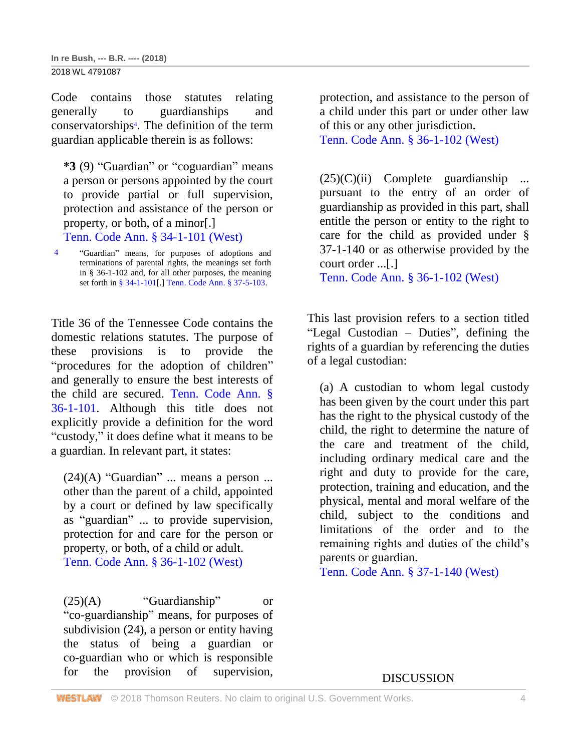Code contains those statutes relating generally to guardianships and conservatorships<sup>4</sup> . The definition of the term guardian applicable therein is as follows:

**\*3** (9) "Guardian" or "coguardian" means a person or persons appointed by the court to provide partial or full supervision, protection and assistance of the person or property, or both, of a minor[.]

[Tenn. Code Ann. § 34-1-101 \(West\)](http://www.westlaw.com/Link/Document/FullText?findType=L&pubNum=1000039&cite=TNSTS34-1-101&originatingDoc=I6b8ae310c83b11e8b93ad6f77bf99296&refType=LQ&originationContext=document&vr=3.0&rs=cblt1.0&transitionType=DocumentItem&contextData=(sc.UserEnteredCitation))

4 "Guardian" means, for purposes of adoptions and terminations of parental rights, the meanings set forth in § 36-1-102 and, for all other purposes, the meaning set forth i[n § 34-1-101\[](http://www.westlaw.com/Link/Document/FullText?findType=L&pubNum=1000039&cite=TNSTS34-1-101&originatingDoc=I6b8ae310c83b11e8b93ad6f77bf99296&refType=LQ&originationContext=document&vr=3.0&rs=cblt1.0&transitionType=DocumentItem&contextData=(sc.UserEnteredCitation)).[\] Tenn. Code Ann. § 37-5-103.](http://www.westlaw.com/Link/Document/FullText?findType=L&pubNum=1000039&cite=TNSTS37-5-103&originatingDoc=I6b8ae310c83b11e8b93ad6f77bf99296&refType=LQ&originationContext=document&vr=3.0&rs=cblt1.0&transitionType=DocumentItem&contextData=(sc.UserEnteredCitation))

Title 36 of the Tennessee Code contains the domestic relations statutes. The purpose of these provisions is to provide the "procedures for the adoption of children" and generally to ensure the best interests of the child are secured. [Tenn. Code Ann. §](http://www.westlaw.com/Link/Document/FullText?findType=L&pubNum=1000039&cite=TNSTS36-1-101&originatingDoc=I6b8ae310c83b11e8b93ad6f77bf99296&refType=LQ&originationContext=document&vr=3.0&rs=cblt1.0&transitionType=DocumentItem&contextData=(sc.UserEnteredCitation))  [36-1-101.](http://www.westlaw.com/Link/Document/FullText?findType=L&pubNum=1000039&cite=TNSTS36-1-101&originatingDoc=I6b8ae310c83b11e8b93ad6f77bf99296&refType=LQ&originationContext=document&vr=3.0&rs=cblt1.0&transitionType=DocumentItem&contextData=(sc.UserEnteredCitation)) Although this title does not explicitly provide a definition for the word "custody," it does define what it means to be a guardian. In relevant part, it states:

 $(24)(A)$  "Guardian" ... means a person ... other than the parent of a child, appointed by a court or defined by law specifically as "guardian" ... to provide supervision, protection for and care for the person or property, or both, of a child or adult. [Tenn. Code Ann. § 36-1-102 \(West\)](http://www.westlaw.com/Link/Document/FullText?findType=L&pubNum=1000039&cite=TNSTS36-1-102&originatingDoc=I6b8ae310c83b11e8b93ad6f77bf99296&refType=LQ&originationContext=document&vr=3.0&rs=cblt1.0&transitionType=DocumentItem&contextData=(sc.UserEnteredCitation))

 $(25)(A)$  "Guardianship" or "co-guardianship" means, for purposes of subdivision (24), a person or entity having the status of being a guardian or co-guardian who or which is responsible for the provision of supervision, protection, and assistance to the person of a child under this part or under other law of this or any other jurisdiction. [Tenn. Code Ann. § 36-1-102 \(West\)](http://www.westlaw.com/Link/Document/FullText?findType=L&pubNum=1000039&cite=TNSTS36-1-102&originatingDoc=I6b8ae310c83b11e8b93ad6f77bf99296&refType=LQ&originationContext=document&vr=3.0&rs=cblt1.0&transitionType=DocumentItem&contextData=(sc.UserEnteredCitation))

 $(25)(C)(ii)$  Complete guardianship pursuant to the entry of an order of guardianship as provided in this part, shall entitle the person or entity to the right to care for the child as provided under § 37-1-140 or as otherwise provided by the court order ...[.] [Tenn. Code Ann. § 36-1-102 \(West\)](http://www.westlaw.com/Link/Document/FullText?findType=L&pubNum=1000039&cite=TNSTS36-1-102&originatingDoc=I6b8ae310c83b11e8b93ad6f77bf99296&refType=LQ&originationContext=document&vr=3.0&rs=cblt1.0&transitionType=DocumentItem&contextData=(sc.UserEnteredCitation))

This last provision refers to a section titled "Legal Custodian – Duties", defining the rights of a guardian by referencing the duties of a legal custodian:

(a) A custodian to whom legal custody has been given by the court under this part has the right to the physical custody of the child, the right to determine the nature of the care and treatment of the child, including ordinary medical care and the right and duty to provide for the care, protection, training and education, and the physical, mental and moral welfare of the child, subject to the conditions and limitations of the order and to the remaining rights and duties of the child's parents or guardian.

[Tenn. Code Ann. § 37-1-140 \(West\)](http://www.westlaw.com/Link/Document/FullText?findType=L&pubNum=1000039&cite=TNSTS37-1-140&originatingDoc=I6b8ae310c83b11e8b93ad6f77bf99296&refType=LQ&originationContext=document&vr=3.0&rs=cblt1.0&transitionType=DocumentItem&contextData=(sc.UserEnteredCitation))

DISCUSSION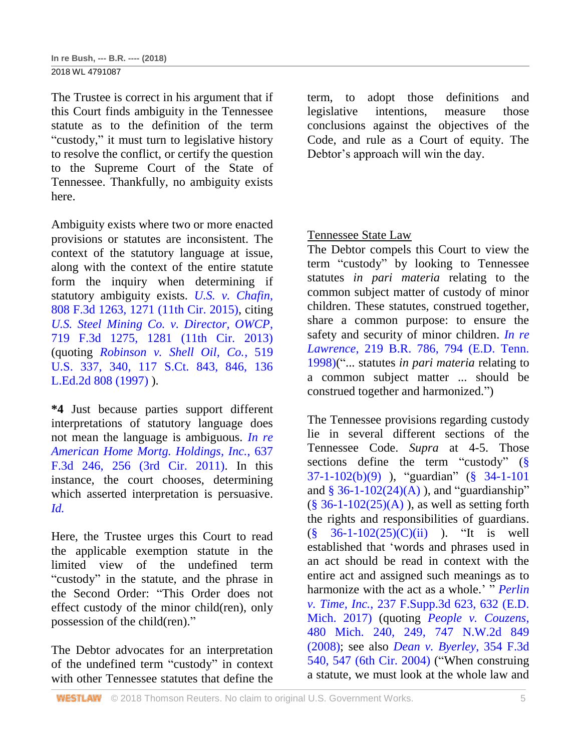The Trustee is correct in his argument that if this Court finds ambiguity in the Tennessee statute as to the definition of the term "custody," it must turn to legislative history to resolve the conflict, or certify the question to the Supreme Court of the State of Tennessee. Thankfully, no ambiguity exists here.

Ambiguity exists where two or more enacted provisions or statutes are inconsistent. The context of the statutory language at issue, along with the context of the entire statute form the inquiry when determining if statutory ambiguity exists. *[U.S. v. Chafin](http://www.westlaw.com/Link/Document/FullText?findType=Y&serNum=2037470430&pubNum=0000506&originatingDoc=I6b8ae310c83b11e8b93ad6f77bf99296&refType=RP&fi=co_pp_sp_506_1271&originationContext=document&vr=3.0&rs=cblt1.0&transitionType=DocumentItem&contextData=(sc.UserEnteredCitation)#co_pp_sp_506_1271)*, [808 F.3d 1263, 1271 \(11th Cir. 2015\),](http://www.westlaw.com/Link/Document/FullText?findType=Y&serNum=2037470430&pubNum=0000506&originatingDoc=I6b8ae310c83b11e8b93ad6f77bf99296&refType=RP&fi=co_pp_sp_506_1271&originationContext=document&vr=3.0&rs=cblt1.0&transitionType=DocumentItem&contextData=(sc.UserEnteredCitation)#co_pp_sp_506_1271) citing *[U.S. Steel Mining Co. v. Director, OWCP](http://www.westlaw.com/Link/Document/FullText?findType=Y&serNum=2030880525&pubNum=0000506&originatingDoc=I6b8ae310c83b11e8b93ad6f77bf99296&refType=RP&fi=co_pp_sp_506_1281&originationContext=document&vr=3.0&rs=cblt1.0&transitionType=DocumentItem&contextData=(sc.UserEnteredCitation)#co_pp_sp_506_1281)*, [719 F.3d 1275, 1281 \(11th Cir. 2013\)](http://www.westlaw.com/Link/Document/FullText?findType=Y&serNum=2030880525&pubNum=0000506&originatingDoc=I6b8ae310c83b11e8b93ad6f77bf99296&refType=RP&fi=co_pp_sp_506_1281&originationContext=document&vr=3.0&rs=cblt1.0&transitionType=DocumentItem&contextData=(sc.UserEnteredCitation)#co_pp_sp_506_1281) (quoting *[Robinson v. Shell Oil, Co.](http://www.westlaw.com/Link/Document/FullText?findType=Y&serNum=1997052884&pubNum=0000708&originatingDoc=I6b8ae310c83b11e8b93ad6f77bf99296&refType=RP&fi=co_pp_sp_708_846&originationContext=document&vr=3.0&rs=cblt1.0&transitionType=DocumentItem&contextData=(sc.UserEnteredCitation)#co_pp_sp_708_846)*, 519 [U.S. 337, 340, 117 S.Ct. 843, 846, 136](http://www.westlaw.com/Link/Document/FullText?findType=Y&serNum=1997052884&pubNum=0000708&originatingDoc=I6b8ae310c83b11e8b93ad6f77bf99296&refType=RP&fi=co_pp_sp_708_846&originationContext=document&vr=3.0&rs=cblt1.0&transitionType=DocumentItem&contextData=(sc.UserEnteredCitation)#co_pp_sp_708_846)  [L.Ed.2d 808 \(1997\)](http://www.westlaw.com/Link/Document/FullText?findType=Y&serNum=1997052884&pubNum=0000708&originatingDoc=I6b8ae310c83b11e8b93ad6f77bf99296&refType=RP&fi=co_pp_sp_708_846&originationContext=document&vr=3.0&rs=cblt1.0&transitionType=DocumentItem&contextData=(sc.UserEnteredCitation)#co_pp_sp_708_846) ).

**\*4** Just because parties support different interpretations of statutory language does not mean the language is ambiguous. *[In re](http://www.westlaw.com/Link/Document/FullText?findType=Y&serNum=2024595428&pubNum=0000506&originatingDoc=I6b8ae310c83b11e8b93ad6f77bf99296&refType=RP&fi=co_pp_sp_506_256&originationContext=document&vr=3.0&rs=cblt1.0&transitionType=DocumentItem&contextData=(sc.UserEnteredCitation)#co_pp_sp_506_256)  [American Home Mortg. Holdings, Inc.](http://www.westlaw.com/Link/Document/FullText?findType=Y&serNum=2024595428&pubNum=0000506&originatingDoc=I6b8ae310c83b11e8b93ad6f77bf99296&refType=RP&fi=co_pp_sp_506_256&originationContext=document&vr=3.0&rs=cblt1.0&transitionType=DocumentItem&contextData=(sc.UserEnteredCitation)#co_pp_sp_506_256)*, 637 [F.3d 246, 256 \(3rd Cir. 2011\).](http://www.westlaw.com/Link/Document/FullText?findType=Y&serNum=2024595428&pubNum=0000506&originatingDoc=I6b8ae310c83b11e8b93ad6f77bf99296&refType=RP&fi=co_pp_sp_506_256&originationContext=document&vr=3.0&rs=cblt1.0&transitionType=DocumentItem&contextData=(sc.UserEnteredCitation)#co_pp_sp_506_256) In this instance, the court chooses, determining which asserted interpretation is persuasive. *[Id.](http://www.westlaw.com/Link/Document/FullText?findType=Y&serNum=2024595428&pubNum=0000506&originatingDoc=I6b8ae310c83b11e8b93ad6f77bf99296&refType=RP&originationContext=document&vr=3.0&rs=cblt1.0&transitionType=DocumentItem&contextData=(sc.UserEnteredCitation))*

Here, the Trustee urges this Court to read the applicable exemption statute in the limited view of the undefined term "custody" in the statute, and the phrase in the Second Order: "This Order does not effect custody of the minor child(ren), only possession of the child(ren)."

The Debtor advocates for an interpretation of the undefined term "custody" in context with other Tennessee statutes that define the

term, to adopt those definitions and legislative intentions, measure those conclusions against the objectives of the Code, and rule as a Court of equity. The Debtor's approach will win the day.

Tennessee State Law

The Debtor compels this Court to view the term "custody" by looking to Tennessee statutes *in pari materia* relating to the common subject matter of custody of minor children. These statutes, construed together, share a common purpose: to ensure the safety and security of minor children. *[In re](http://www.westlaw.com/Link/Document/FullText?findType=Y&serNum=1998082927&pubNum=0000164&originatingDoc=I6b8ae310c83b11e8b93ad6f77bf99296&refType=RP&fi=co_pp_sp_164_794&originationContext=document&vr=3.0&rs=cblt1.0&transitionType=DocumentItem&contextData=(sc.UserEnteredCitation)#co_pp_sp_164_794)  Lawrence*[, 219 B.R. 786, 794 \(E.D. Tenn.](http://www.westlaw.com/Link/Document/FullText?findType=Y&serNum=1998082927&pubNum=0000164&originatingDoc=I6b8ae310c83b11e8b93ad6f77bf99296&refType=RP&fi=co_pp_sp_164_794&originationContext=document&vr=3.0&rs=cblt1.0&transitionType=DocumentItem&contextData=(sc.UserEnteredCitation)#co_pp_sp_164_794)  [1998\)\(](http://www.westlaw.com/Link/Document/FullText?findType=Y&serNum=1998082927&pubNum=0000164&originatingDoc=I6b8ae310c83b11e8b93ad6f77bf99296&refType=RP&fi=co_pp_sp_164_794&originationContext=document&vr=3.0&rs=cblt1.0&transitionType=DocumentItem&contextData=(sc.UserEnteredCitation)#co_pp_sp_164_794)"... statutes *in pari materia* relating to a common subject matter ... should be construed together and harmonized.")

The Tennessee provisions regarding custody lie in several different sections of the Tennessee Code. *Supra* at 4-5. Those sections define the term "custody" (§ [37-1-102\(b\)\(9\)](http://www.westlaw.com/Link/Document/FullText?findType=L&pubNum=1000039&cite=TNSTS37-1-102&originatingDoc=I6b8ae310c83b11e8b93ad6f77bf99296&refType=SP&originationContext=document&vr=3.0&rs=cblt1.0&transitionType=DocumentItem&contextData=(sc.UserEnteredCitation)#co_pp_885e00005efe7) ), "guardian" [\(§ 34-1-101](http://www.westlaw.com/Link/Document/FullText?findType=L&pubNum=1000039&cite=TNSTS34-1-101&originatingDoc=I6b8ae310c83b11e8b93ad6f77bf99296&refType=LQ&originationContext=document&vr=3.0&rs=cblt1.0&transitionType=DocumentItem&contextData=(sc.UserEnteredCitation)) and  $§$  36-1-102(24)(A)), and "guardianship"  $(\S 36-1-102(25)(A))$ , as well as setting forth the rights and responsibilities of guardians.  $(\S$  36-1-102(25)(C)(ii) ). "It is well established that 'words and phrases used in an act should be read in context with the entire act and assigned such meanings as to harmonize with the act as a whole.' " *[Perlin](http://www.westlaw.com/Link/Document/FullText?findType=Y&serNum=2040956769&pubNum=0007903&originatingDoc=I6b8ae310c83b11e8b93ad6f77bf99296&refType=RP&fi=co_pp_sp_7903_632&originationContext=document&vr=3.0&rs=cblt1.0&transitionType=DocumentItem&contextData=(sc.UserEnteredCitation)#co_pp_sp_7903_632)  v. Time, Inc.*[, 237 F.Supp.3d 623, 632 \(E.D.](http://www.westlaw.com/Link/Document/FullText?findType=Y&serNum=2040956769&pubNum=0007903&originatingDoc=I6b8ae310c83b11e8b93ad6f77bf99296&refType=RP&fi=co_pp_sp_7903_632&originationContext=document&vr=3.0&rs=cblt1.0&transitionType=DocumentItem&contextData=(sc.UserEnteredCitation)#co_pp_sp_7903_632)  [Mich. 2017\)](http://www.westlaw.com/Link/Document/FullText?findType=Y&serNum=2040956769&pubNum=0007903&originatingDoc=I6b8ae310c83b11e8b93ad6f77bf99296&refType=RP&fi=co_pp_sp_7903_632&originationContext=document&vr=3.0&rs=cblt1.0&transitionType=DocumentItem&contextData=(sc.UserEnteredCitation)#co_pp_sp_7903_632) (quoting *[People v. Couzens](http://www.westlaw.com/Link/Document/FullText?findType=Y&serNum=2015870291&pubNum=0000542&originatingDoc=I6b8ae310c83b11e8b93ad6f77bf99296&refType=RP&fi=co_pp_sp_542_249&originationContext=document&vr=3.0&rs=cblt1.0&transitionType=DocumentItem&contextData=(sc.UserEnteredCitation)#co_pp_sp_542_249)*, 480 Mich. 240, [249, 747 N.W.2d 849](http://www.westlaw.com/Link/Document/FullText?findType=Y&serNum=2015870291&pubNum=0000542&originatingDoc=I6b8ae310c83b11e8b93ad6f77bf99296&refType=RP&fi=co_pp_sp_542_249&originationContext=document&vr=3.0&rs=cblt1.0&transitionType=DocumentItem&contextData=(sc.UserEnteredCitation)#co_pp_sp_542_249)  [\(2008\);](http://www.westlaw.com/Link/Document/FullText?findType=Y&serNum=2015870291&pubNum=0000542&originatingDoc=I6b8ae310c83b11e8b93ad6f77bf99296&refType=RP&fi=co_pp_sp_542_249&originationContext=document&vr=3.0&rs=cblt1.0&transitionType=DocumentItem&contextData=(sc.UserEnteredCitation)#co_pp_sp_542_249) see also *[Dean v. Byerley](http://www.westlaw.com/Link/Document/FullText?findType=Y&serNum=2004051606&pubNum=0000506&originatingDoc=I6b8ae310c83b11e8b93ad6f77bf99296&refType=RP&fi=co_pp_sp_506_547&originationContext=document&vr=3.0&rs=cblt1.0&transitionType=DocumentItem&contextData=(sc.UserEnteredCitation)#co_pp_sp_506_547)*, 354 F.3d [540, 547 \(6th Cir. 2004\)](http://www.westlaw.com/Link/Document/FullText?findType=Y&serNum=2004051606&pubNum=0000506&originatingDoc=I6b8ae310c83b11e8b93ad6f77bf99296&refType=RP&fi=co_pp_sp_506_547&originationContext=document&vr=3.0&rs=cblt1.0&transitionType=DocumentItem&contextData=(sc.UserEnteredCitation)#co_pp_sp_506_547) ("When construing a statute, we must look at the whole law and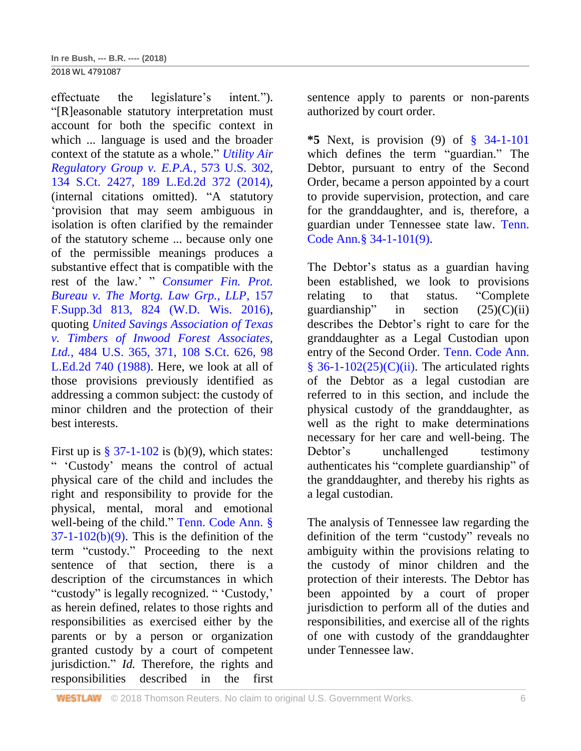2018 WL 4791087

effectuate the legislature's intent."). "[R]easonable statutory interpretation must account for both the specific context in which ... language is used and the broader context of the statute as a whole." *[Utility Air](http://www.westlaw.com/Link/Document/FullText?findType=Y&serNum=2033642966&pubNum=0000708&originatingDoc=I6b8ae310c83b11e8b93ad6f77bf99296&refType=RP&originationContext=document&vr=3.0&rs=cblt1.0&transitionType=DocumentItem&contextData=(sc.UserEnteredCitation))  [Regulatory Group v. E.P.A.](http://www.westlaw.com/Link/Document/FullText?findType=Y&serNum=2033642966&pubNum=0000708&originatingDoc=I6b8ae310c83b11e8b93ad6f77bf99296&refType=RP&originationContext=document&vr=3.0&rs=cblt1.0&transitionType=DocumentItem&contextData=(sc.UserEnteredCitation))*, 573 U.S. 302, [134 S.Ct. 2427, 189 L.Ed.2d 372 \(2014\),](http://www.westlaw.com/Link/Document/FullText?findType=Y&serNum=2033642966&pubNum=0000708&originatingDoc=I6b8ae310c83b11e8b93ad6f77bf99296&refType=RP&originationContext=document&vr=3.0&rs=cblt1.0&transitionType=DocumentItem&contextData=(sc.UserEnteredCitation)) (internal citations omitted). "A statutory 'provision that may seem ambiguous in isolation is often clarified by the remainder of the statutory scheme ... because only one of the permissible meanings produces a substantive effect that is compatible with the rest of the law.' " *[Consumer Fin. Prot.](http://www.westlaw.com/Link/Document/FullText?findType=Y&serNum=2038065951&pubNum=0007903&originatingDoc=I6b8ae310c83b11e8b93ad6f77bf99296&refType=RP&fi=co_pp_sp_7903_824&originationContext=document&vr=3.0&rs=cblt1.0&transitionType=DocumentItem&contextData=(sc.UserEnteredCitation)#co_pp_sp_7903_824)  [Bureau v. The Mortg. Law Grp., LLP](http://www.westlaw.com/Link/Document/FullText?findType=Y&serNum=2038065951&pubNum=0007903&originatingDoc=I6b8ae310c83b11e8b93ad6f77bf99296&refType=RP&fi=co_pp_sp_7903_824&originationContext=document&vr=3.0&rs=cblt1.0&transitionType=DocumentItem&contextData=(sc.UserEnteredCitation)#co_pp_sp_7903_824)*, 157 [F.Supp.3d 813, 824 \(W.D. Wis. 2016\),](http://www.westlaw.com/Link/Document/FullText?findType=Y&serNum=2038065951&pubNum=0007903&originatingDoc=I6b8ae310c83b11e8b93ad6f77bf99296&refType=RP&fi=co_pp_sp_7903_824&originationContext=document&vr=3.0&rs=cblt1.0&transitionType=DocumentItem&contextData=(sc.UserEnteredCitation)#co_pp_sp_7903_824) quoting *[United Savings Association of Texas](http://www.westlaw.com/Link/Document/FullText?findType=Y&serNum=1988010767&pubNum=0000780&originatingDoc=I6b8ae310c83b11e8b93ad6f77bf99296&refType=RP&fi=co_pp_sp_780_371&originationContext=document&vr=3.0&rs=cblt1.0&transitionType=DocumentItem&contextData=(sc.UserEnteredCitation)#co_pp_sp_780_371)  [v. Timbers of Inwood Forest Associates,](http://www.westlaw.com/Link/Document/FullText?findType=Y&serNum=1988010767&pubNum=0000780&originatingDoc=I6b8ae310c83b11e8b93ad6f77bf99296&refType=RP&fi=co_pp_sp_780_371&originationContext=document&vr=3.0&rs=cblt1.0&transitionType=DocumentItem&contextData=(sc.UserEnteredCitation)#co_pp_sp_780_371)  Ltd.*[, 484 U.S. 365, 371, 108 S.Ct. 626, 98](http://www.westlaw.com/Link/Document/FullText?findType=Y&serNum=1988010767&pubNum=0000780&originatingDoc=I6b8ae310c83b11e8b93ad6f77bf99296&refType=RP&fi=co_pp_sp_780_371&originationContext=document&vr=3.0&rs=cblt1.0&transitionType=DocumentItem&contextData=(sc.UserEnteredCitation)#co_pp_sp_780_371)  [L.Ed.2d 740 \(1988\).](http://www.westlaw.com/Link/Document/FullText?findType=Y&serNum=1988010767&pubNum=0000780&originatingDoc=I6b8ae310c83b11e8b93ad6f77bf99296&refType=RP&fi=co_pp_sp_780_371&originationContext=document&vr=3.0&rs=cblt1.0&transitionType=DocumentItem&contextData=(sc.UserEnteredCitation)#co_pp_sp_780_371) Here, we look at all of those provisions previously identified as addressing a common subject: the custody of minor children and the protection of their best interests.

First up is  $\S 37-1-102$  is (b)(9), which states: " 'Custody' means the control of actual physical care of the child and includes the right and responsibility to provide for the physical, mental, moral and emotional well-being of the child." [Tenn. Code Ann. §](http://www.westlaw.com/Link/Document/FullText?findType=L&pubNum=1000039&cite=TNSTS37-1-102&originatingDoc=I6b8ae310c83b11e8b93ad6f77bf99296&refType=SP&originationContext=document&vr=3.0&rs=cblt1.0&transitionType=DocumentItem&contextData=(sc.UserEnteredCitation)#co_pp_885e00005efe7)   $37-1-102(b)(9)$ . This is the definition of the term "custody." Proceeding to the next sentence of that section, there is a description of the circumstances in which "custody" is legally recognized. " 'Custody,' as herein defined, relates to those rights and responsibilities as exercised either by the parents or by a person or organization granted custody by a court of competent jurisdiction." *Id.* Therefore, the rights and responsibilities described in the first

sentence apply to parents or non-parents authorized by court order.

**\*5** Next, is provision (9) of [§ 34-1-101](http://www.westlaw.com/Link/Document/FullText?findType=L&pubNum=1000039&cite=TNSTS34-1-101&originatingDoc=I6b8ae310c83b11e8b93ad6f77bf99296&refType=LQ&originationContext=document&vr=3.0&rs=cblt1.0&transitionType=DocumentItem&contextData=(sc.UserEnteredCitation)) which defines the term "guardian." The Debtor, pursuant to entry of the Second Order, became a person appointed by a court to provide supervision, protection, and care for the granddaughter, and is, therefore, a guardian under Tennessee state law. [Tenn.](http://www.westlaw.com/Link/Document/FullText?findType=L&pubNum=1000039&cite=TNSTS34-1-101&originatingDoc=I6b8ae310c83b11e8b93ad6f77bf99296&refType=SP&originationContext=document&vr=3.0&rs=cblt1.0&transitionType=DocumentItem&contextData=(sc.UserEnteredCitation)#co_pp_e5e400002dc26)  [Code Ann.§ 34-1-101\(9\).](http://www.westlaw.com/Link/Document/FullText?findType=L&pubNum=1000039&cite=TNSTS34-1-101&originatingDoc=I6b8ae310c83b11e8b93ad6f77bf99296&refType=SP&originationContext=document&vr=3.0&rs=cblt1.0&transitionType=DocumentItem&contextData=(sc.UserEnteredCitation)#co_pp_e5e400002dc26)

The Debtor's status as a guardian having been established, we look to provisions relating to that status. "Complete guardianship" in section  $(25)(C)(ii)$ describes the Debtor's right to care for the granddaughter as a Legal Custodian upon entry of the Second Order. [Tenn. Code Ann.](http://www.westlaw.com/Link/Document/FullText?findType=L&pubNum=1000039&cite=TNSTS36-1-102&originatingDoc=I6b8ae310c83b11e8b93ad6f77bf99296&refType=SP&originationContext=document&vr=3.0&rs=cblt1.0&transitionType=DocumentItem&contextData=(sc.UserEnteredCitation)#co_pp_58ac0000f38e4)   $§ 36-1-102(25)(C)(ii)$ . The articulated rights of the Debtor as a legal custodian are referred to in this section, and include the physical custody of the granddaughter, as well as the right to make determinations necessary for her care and well-being. The Debtor's unchallenged testimony authenticates his "complete guardianship" of the granddaughter, and thereby his rights as a legal custodian.

The analysis of Tennessee law regarding the definition of the term "custody" reveals no ambiguity within the provisions relating to the custody of minor children and the protection of their interests. The Debtor has been appointed by a court of proper jurisdiction to perform all of the duties and responsibilities, and exercise all of the rights of one with custody of the granddaughter under Tennessee law.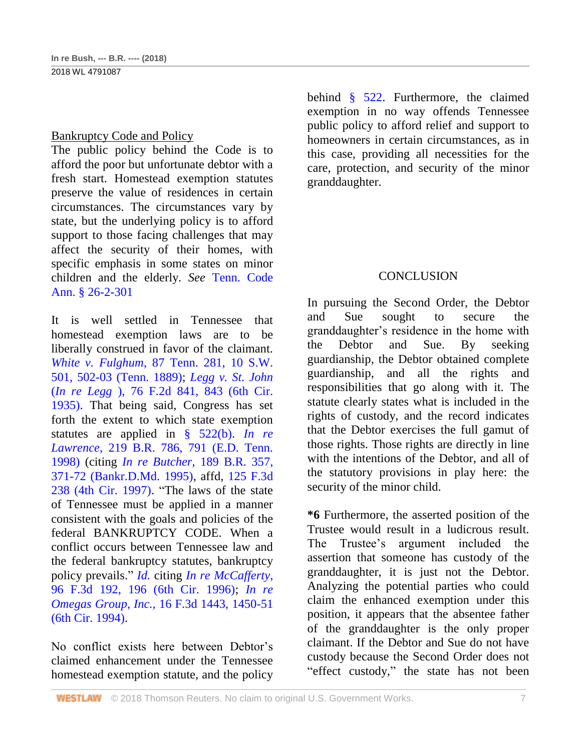## Bankruptcy Code and Policy

The public policy behind the Code is to afford the poor but unfortunate debtor with a fresh start. Homestead exemption statutes preserve the value of residences in certain circumstances. The circumstances vary by state, but the underlying policy is to afford support to those facing challenges that may affect the security of their homes, with specific emphasis in some states on minor children and the elderly. *See* [Tenn. Code](http://www.westlaw.com/Link/Document/FullText?findType=L&pubNum=1000039&cite=TNSTS26-2-301&originatingDoc=I6b8ae310c83b11e8b93ad6f77bf99296&refType=LQ&originationContext=document&vr=3.0&rs=cblt1.0&transitionType=DocumentItem&contextData=(sc.UserEnteredCitation))  [Ann. § 26-2-301](http://www.westlaw.com/Link/Document/FullText?findType=L&pubNum=1000039&cite=TNSTS26-2-301&originatingDoc=I6b8ae310c83b11e8b93ad6f77bf99296&refType=LQ&originationContext=document&vr=3.0&rs=cblt1.0&transitionType=DocumentItem&contextData=(sc.UserEnteredCitation))

It is well settled in Tennessee that homestead exemption laws are to be liberally construed in favor of the claimant. *White v. Fulghum*[, 87 Tenn. 281, 10 S.W.](http://www.westlaw.com/Link/Document/FullText?findType=Y&serNum=1889055648&pubNum=0000712&originatingDoc=I6b8ae310c83b11e8b93ad6f77bf99296&refType=RP&fi=co_pp_sp_712_502&originationContext=document&vr=3.0&rs=cblt1.0&transitionType=DocumentItem&contextData=(sc.UserEnteredCitation)#co_pp_sp_712_502)  [501, 502-03 \(Tenn. 1889\);](http://www.westlaw.com/Link/Document/FullText?findType=Y&serNum=1889055648&pubNum=0000712&originatingDoc=I6b8ae310c83b11e8b93ad6f77bf99296&refType=RP&fi=co_pp_sp_712_502&originationContext=document&vr=3.0&rs=cblt1.0&transitionType=DocumentItem&contextData=(sc.UserEnteredCitation)#co_pp_sp_712_502) *[Legg v. St. John](http://www.westlaw.com/Link/Document/FullText?findType=Y&serNum=1935126200&pubNum=0000350&originatingDoc=I6b8ae310c83b11e8b93ad6f77bf99296&refType=RP&fi=co_pp_sp_350_843&originationContext=document&vr=3.0&rs=cblt1.0&transitionType=DocumentItem&contextData=(sc.UserEnteredCitation)#co_pp_sp_350_843)* (*In re Legg* [\), 76 F.2d 841, 843 \(6th Cir.](http://www.westlaw.com/Link/Document/FullText?findType=Y&serNum=1935126200&pubNum=0000350&originatingDoc=I6b8ae310c83b11e8b93ad6f77bf99296&refType=RP&fi=co_pp_sp_350_843&originationContext=document&vr=3.0&rs=cblt1.0&transitionType=DocumentItem&contextData=(sc.UserEnteredCitation)#co_pp_sp_350_843)  [1935\).](http://www.westlaw.com/Link/Document/FullText?findType=Y&serNum=1935126200&pubNum=0000350&originatingDoc=I6b8ae310c83b11e8b93ad6f77bf99296&refType=RP&fi=co_pp_sp_350_843&originationContext=document&vr=3.0&rs=cblt1.0&transitionType=DocumentItem&contextData=(sc.UserEnteredCitation)#co_pp_sp_350_843) That being said, Congress has set forth the extent to which state exemption statutes are applied in [§ 522\(b\).](http://www.westlaw.com/Link/Document/FullText?findType=L&pubNum=1000546&cite=11USCAS522&originatingDoc=I6b8ae310c83b11e8b93ad6f77bf99296&refType=RB&originationContext=document&vr=3.0&rs=cblt1.0&transitionType=DocumentItem&contextData=(sc.UserEnteredCitation)#co_pp_a83b000018c76) *[In re](http://www.westlaw.com/Link/Document/FullText?findType=Y&serNum=1998082927&pubNum=0000164&originatingDoc=I6b8ae310c83b11e8b93ad6f77bf99296&refType=RP&fi=co_pp_sp_164_791&originationContext=document&vr=3.0&rs=cblt1.0&transitionType=DocumentItem&contextData=(sc.UserEnteredCitation)#co_pp_sp_164_791)  Lawrence*[, 219 B.R. 786, 791 \(E.D. Tenn.](http://www.westlaw.com/Link/Document/FullText?findType=Y&serNum=1998082927&pubNum=0000164&originatingDoc=I6b8ae310c83b11e8b93ad6f77bf99296&refType=RP&fi=co_pp_sp_164_791&originationContext=document&vr=3.0&rs=cblt1.0&transitionType=DocumentItem&contextData=(sc.UserEnteredCitation)#co_pp_sp_164_791)  [1998\)](http://www.westlaw.com/Link/Document/FullText?findType=Y&serNum=1998082927&pubNum=0000164&originatingDoc=I6b8ae310c83b11e8b93ad6f77bf99296&refType=RP&fi=co_pp_sp_164_791&originationContext=document&vr=3.0&rs=cblt1.0&transitionType=DocumentItem&contextData=(sc.UserEnteredCitation)#co_pp_sp_164_791) (citing *In re Butcher*[, 189 B.R. 357,](http://www.westlaw.com/Link/Document/FullText?findType=Y&serNum=1995236093&pubNum=0000164&originatingDoc=I6b8ae310c83b11e8b93ad6f77bf99296&refType=RP&fi=co_pp_sp_164_371&originationContext=document&vr=3.0&rs=cblt1.0&transitionType=DocumentItem&contextData=(sc.UserEnteredCitation)#co_pp_sp_164_371)  [371-72 \(Bankr.D.Md. 1995\),](http://www.westlaw.com/Link/Document/FullText?findType=Y&serNum=1995236093&pubNum=0000164&originatingDoc=I6b8ae310c83b11e8b93ad6f77bf99296&refType=RP&fi=co_pp_sp_164_371&originationContext=document&vr=3.0&rs=cblt1.0&transitionType=DocumentItem&contextData=(sc.UserEnteredCitation)#co_pp_sp_164_371) affd, [125 F.3d](http://www.westlaw.com/Link/Document/FullText?findType=Y&serNum=1997188690&pubNum=0000506&originatingDoc=I6b8ae310c83b11e8b93ad6f77bf99296&refType=RP&originationContext=document&vr=3.0&rs=cblt1.0&transitionType=DocumentItem&contextData=(sc.UserEnteredCitation))  [238 \(4th Cir. 1997\).](http://www.westlaw.com/Link/Document/FullText?findType=Y&serNum=1997188690&pubNum=0000506&originatingDoc=I6b8ae310c83b11e8b93ad6f77bf99296&refType=RP&originationContext=document&vr=3.0&rs=cblt1.0&transitionType=DocumentItem&contextData=(sc.UserEnteredCitation)) "The laws of the state of Tennessee must be applied in a manner consistent with the goals and policies of the federal BANKRUPTCY CODE. When a conflict occurs between Tennessee law and the federal bankruptcy statutes, bankruptcy policy prevails." *[Id.](http://www.westlaw.com/Link/Document/FullText?findType=Y&serNum=1998082927&pubNum=0000164&originatingDoc=I6b8ae310c83b11e8b93ad6f77bf99296&refType=RP&originationContext=document&vr=3.0&rs=cblt1.0&transitionType=DocumentItem&contextData=(sc.UserEnteredCitation))* citing *[In re McCafferty](http://www.westlaw.com/Link/Document/FullText?findType=Y&serNum=1996211367&pubNum=0000506&originatingDoc=I6b8ae310c83b11e8b93ad6f77bf99296&refType=RP&fi=co_pp_sp_506_196&originationContext=document&vr=3.0&rs=cblt1.0&transitionType=DocumentItem&contextData=(sc.UserEnteredCitation)#co_pp_sp_506_196)*, [96 F.3d 192, 196 \(6th Cir. 1996\);](http://www.westlaw.com/Link/Document/FullText?findType=Y&serNum=1996211367&pubNum=0000506&originatingDoc=I6b8ae310c83b11e8b93ad6f77bf99296&refType=RP&fi=co_pp_sp_506_196&originationContext=document&vr=3.0&rs=cblt1.0&transitionType=DocumentItem&contextData=(sc.UserEnteredCitation)#co_pp_sp_506_196) *[In re](http://www.westlaw.com/Link/Document/FullText?findType=Y&serNum=1994048072&pubNum=0000506&originatingDoc=I6b8ae310c83b11e8b93ad6f77bf99296&refType=RP&fi=co_pp_sp_506_1450&originationContext=document&vr=3.0&rs=cblt1.0&transitionType=DocumentItem&contextData=(sc.UserEnteredCitation)#co_pp_sp_506_1450)  Omegas Group, Inc.,* [16 F.3d 1443, 1450-51](http://www.westlaw.com/Link/Document/FullText?findType=Y&serNum=1994048072&pubNum=0000506&originatingDoc=I6b8ae310c83b11e8b93ad6f77bf99296&refType=RP&fi=co_pp_sp_506_1450&originationContext=document&vr=3.0&rs=cblt1.0&transitionType=DocumentItem&contextData=(sc.UserEnteredCitation)#co_pp_sp_506_1450)  [\(6th Cir. 1994\).](http://www.westlaw.com/Link/Document/FullText?findType=Y&serNum=1994048072&pubNum=0000506&originatingDoc=I6b8ae310c83b11e8b93ad6f77bf99296&refType=RP&fi=co_pp_sp_506_1450&originationContext=document&vr=3.0&rs=cblt1.0&transitionType=DocumentItem&contextData=(sc.UserEnteredCitation)#co_pp_sp_506_1450)

No conflict exists here between Debtor's claimed enhancement under the Tennessee homestead exemption statute, and the policy

behind [§ 522.](http://www.westlaw.com/Link/Document/FullText?findType=L&pubNum=1000546&cite=11USCAS522&originatingDoc=I6b8ae310c83b11e8b93ad6f77bf99296&refType=LQ&originationContext=document&vr=3.0&rs=cblt1.0&transitionType=DocumentItem&contextData=(sc.UserEnteredCitation)) Furthermore, the claimed exemption in no way offends Tennessee public policy to afford relief and support to homeowners in certain circumstances, as in this case, providing all necessities for the care, protection, and security of the minor granddaughter.

## **CONCLUSION**

In pursuing the Second Order, the Debtor and Sue sought to secure the granddaughter's residence in the home with the Debtor and Sue. By seeking guardianship, the Debtor obtained complete guardianship, and all the rights and responsibilities that go along with it. The statute clearly states what is included in the rights of custody, and the record indicates that the Debtor exercises the full gamut of those rights. Those rights are directly in line with the intentions of the Debtor, and all of the statutory provisions in play here: the security of the minor child.

**\*6** Furthermore, the asserted position of the Trustee would result in a ludicrous result. The Trustee's argument included the assertion that someone has custody of the granddaughter, it is just not the Debtor. Analyzing the potential parties who could claim the enhanced exemption under this position, it appears that the absentee father of the granddaughter is the only proper claimant. If the Debtor and Sue do not have custody because the Second Order does not "effect custody," the state has not been